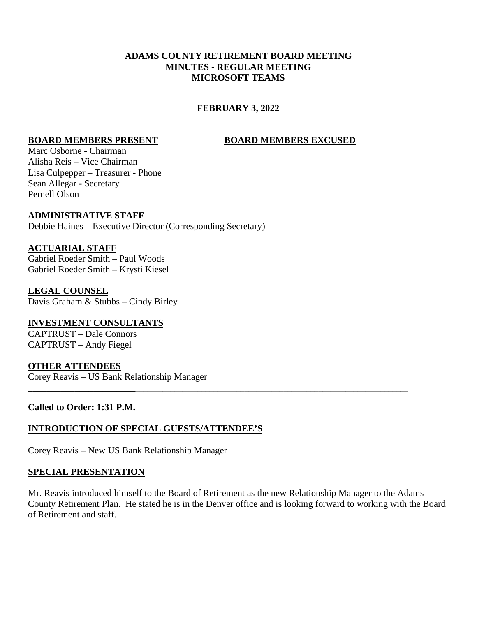## **ADAMS COUNTY RETIREMENT BOARD MEETING MINUTES - REGULAR MEETING MICROSOFT TEAMS**

## **FEBRUARY 3, 2022**

#### **BOARD MEMBERS PRESENT BOARD MEMBERS EXCUSED**

Marc Osborne - Chairman Alisha Reis – Vice Chairman Lisa Culpepper – Treasurer - Phone Sean Allegar - Secretary Pernell Olson

## **ADMINISTRATIVE STAFF**

Debbie Haines – Executive Director (Corresponding Secretary)

#### **ACTUARIAL STAFF**

Gabriel Roeder Smith – Paul Woods Gabriel Roeder Smith – Krysti Kiesel

#### **LEGAL COUNSEL** Davis Graham & Stubbs – Cindy Birley

# **INVESTMENT CONSULTANTS**

CAPTRUST – Dale Connors CAPTRUST – Andy Fiegel

## **OTHER ATTENDEES**

Corey Reavis – US Bank Relationship Manager

#### **Called to Order: 1:31 P.M.**

## **INTRODUCTION OF SPECIAL GUESTS/ATTENDEE'S**

Corey Reavis – New US Bank Relationship Manager

#### **SPECIAL PRESENTATION**

Mr. Reavis introduced himself to the Board of Retirement as the new Relationship Manager to the Adams County Retirement Plan. He stated he is in the Denver office and is looking forward to working with the Board of Retirement and staff.

\_\_\_\_\_\_\_\_\_\_\_\_\_\_\_\_\_\_\_\_\_\_\_\_\_\_\_\_\_\_\_\_\_\_\_\_\_\_\_\_\_\_\_\_\_\_\_\_\_\_\_\_\_\_\_\_\_\_\_\_\_\_\_\_\_\_\_\_\_\_\_\_\_\_\_\_\_\_\_\_\_\_\_\_\_\_\_\_\_\_\_\_\_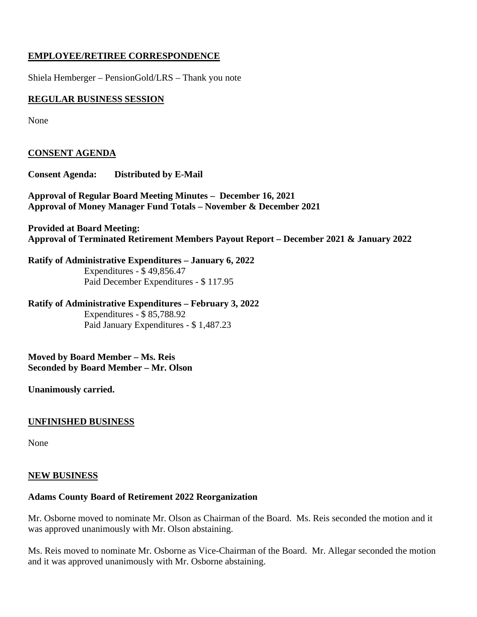## **EMPLOYEE/RETIREE CORRESPONDENCE**

Shiela Hemberger – PensionGold/LRS – Thank you note

## **REGULAR BUSINESS SESSION**

None

## **CONSENT AGENDA**

**Consent Agenda: Distributed by E-Mail**

**Approval of Regular Board Meeting Minutes – December 16, 2021 Approval of Money Manager Fund Totals – November & December 2021**

**Provided at Board Meeting: Approval of Terminated Retirement Members Payout Report – December 2021 & January 2022**

**Ratify of Administrative Expenditures – January 6, 2022** Expenditures - \$ 49,856.47 Paid December Expenditures - \$ 117.95

**Ratify of Administrative Expenditures – February 3, 2022** Expenditures - \$ 85,788.92 Paid January Expenditures - \$ 1,487.23

**Moved by Board Member – Ms. Reis Seconded by Board Member – Mr. Olson**

## **Unanimously carried.**

## **UNFINISHED BUSINESS**

None

#### **NEW BUSINESS**

## **Adams County Board of Retirement 2022 Reorganization**

Mr. Osborne moved to nominate Mr. Olson as Chairman of the Board. Ms. Reis seconded the motion and it was approved unanimously with Mr. Olson abstaining.

Ms. Reis moved to nominate Mr. Osborne as Vice-Chairman of the Board. Mr. Allegar seconded the motion and it was approved unanimously with Mr. Osborne abstaining.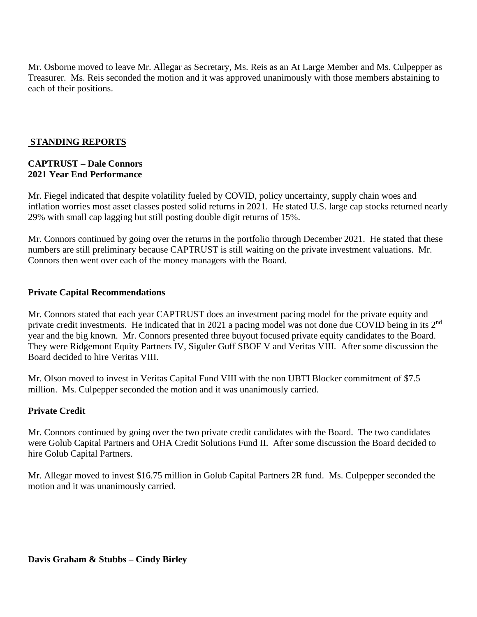Mr. Osborne moved to leave Mr. Allegar as Secretary, Ms. Reis as an At Large Member and Ms. Culpepper as Treasurer. Ms. Reis seconded the motion and it was approved unanimously with those members abstaining to each of their positions.

## **STANDING REPORTS**

## **CAPTRUST – Dale Connors 2021 Year End Performance**

Mr. Fiegel indicated that despite volatility fueled by COVID, policy uncertainty, supply chain woes and inflation worries most asset classes posted solid returns in 2021. He stated U.S. large cap stocks returned nearly 29% with small cap lagging but still posting double digit returns of 15%.

Mr. Connors continued by going over the returns in the portfolio through December 2021. He stated that these numbers are still preliminary because CAPTRUST is still waiting on the private investment valuations. Mr. Connors then went over each of the money managers with the Board.

## **Private Capital Recommendations**

Mr. Connors stated that each year CAPTRUST does an investment pacing model for the private equity and private credit investments. He indicated that in 2021 a pacing model was not done due COVID being in its 2<sup>nd</sup> year and the big known. Mr. Connors presented three buyout focused private equity candidates to the Board. They were Ridgemont Equity Partners IV, Siguler Guff SBOF V and Veritas VIII. After some discussion the Board decided to hire Veritas VIII.

Mr. Olson moved to invest in Veritas Capital Fund VIII with the non UBTI Blocker commitment of \$7.5 million. Ms. Culpepper seconded the motion and it was unanimously carried.

## **Private Credit**

Mr. Connors continued by going over the two private credit candidates with the Board. The two candidates were Golub Capital Partners and OHA Credit Solutions Fund II. After some discussion the Board decided to hire Golub Capital Partners.

Mr. Allegar moved to invest \$16.75 million in Golub Capital Partners 2R fund. Ms. Culpepper seconded the motion and it was unanimously carried.